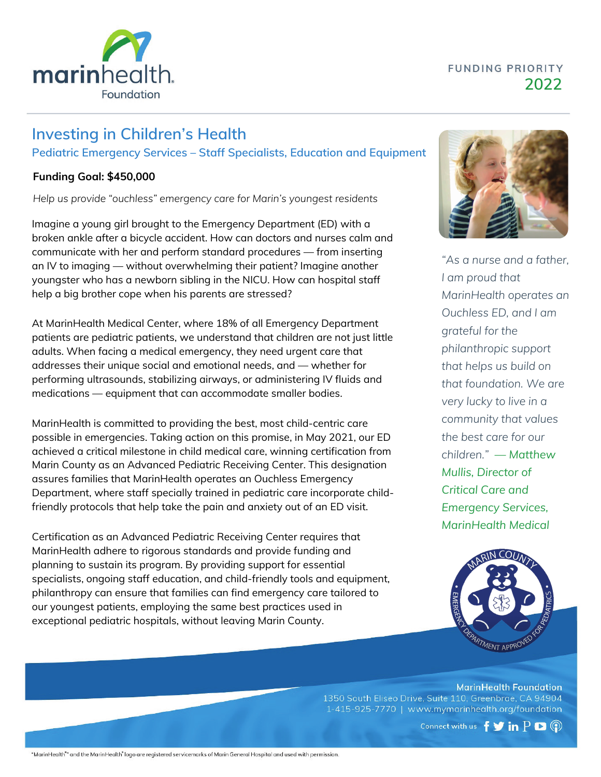### **FUNDING PRIORITY 2022**



# **Investing in Children's Health Pediatric Emergency Services – Staff Specialists, Education and Equipment**

#### **Funding Goal: \$450,000**

*Help us provide "ouchless" emergency care for Marin's youngest residents*

Imagine a young girl brought to the Emergency Department (ED) with a broken ankle after a bicycle accident. How can doctors and nurses calm and communicate with her and perform standard procedures — from inserting an IV to imaging — without overwhelming their patient? Imagine another youngster who has a newborn sibling in the NICU. How can hospital staff help a big brother cope when his parents are stressed?

At MarinHealth Medical Center, where 18% of all Emergency Department patients are pediatric patients, we understand that children are not just little adults. When facing a medical emergency, they need urgent care that addresses their unique social and emotional needs, and — whether for performing ultrasounds, stabilizing airways, or administering IV fluids and medications — equipment that can accommodate smaller bodies.

MarinHealth is committed to providing the best, most child-centric care possible in emergencies. Taking action on this promise, in May 2021, our ED achieved a critical milestone in child medical care, winning certification from Marin County as an Advanced Pediatric Receiving Center. This designation assures families that MarinHealth operates an Ouchless Emergency Department, where staff specially trained in pediatric care incorporate childfriendly protocols that help take the pain and anxiety out of an ED visit.

Certification as an Advanced Pediatric Receiving Center requires that MarinHealth adhere to rigorous standards and provide funding and planning to sustain its program. By providing support for essential specialists, ongoing staff education, and child-friendly tools and equipment, philanthropy can ensure that families can find emergency care tailored to our youngest patients, employing the same best practices used in exceptional pediatric hospitals, without leaving Marin County.



*"As a nurse and a father, I am proud that MarinHealth operates an Ouchless ED, and I am grateful for the philanthropic support that helps us build on that foundation. We are very lucky to live in a community that values the best care for our children." — Matthew Mullis, Director of Critical Care and Emergency Services, MarinHealth Medical*



**MarinHealth Foundation** 1350 South Eliseo Drive, Suite 110, Greenbrae, CA 94904 1-415-925-7770 | www.mymarinhealth.org/foundation

Connect with us  $f \blacktriangleright in P \blacktriangleright \textcircled{?}$